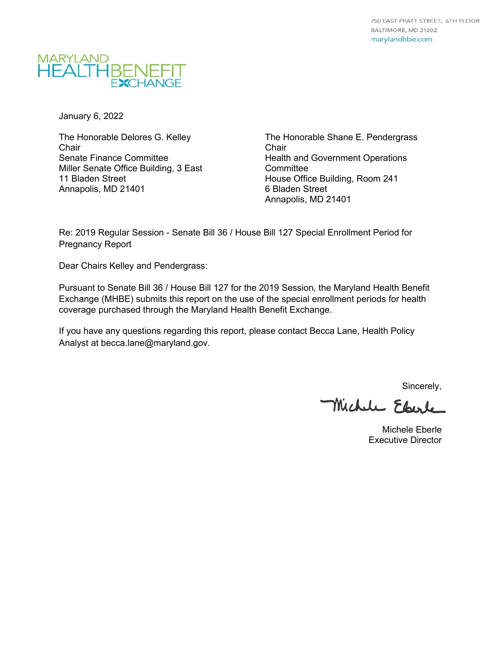

January 6, 2022

The Honorable [Delores G.](https://mgaleg.maryland.gov/mgawebsite/Members/Details/kelley) Kelley **Chair** Senate Finance Committee Miller Senate Office Building, 3 East 11 Bladen Street Annapolis, MD 21401

The Honorable [Shane E. Pendergrass](https://mgaleg.maryland.gov/mgawebsite/Members/Details/pendergrass)  Chair Health and Government Operations **Committee** House Office Building, Room 241 6 Bladen Street Annapolis, MD 21401

Re: 2019 Regular Session - Senate Bill 36 / House Bill 127 Special Enrollment Period for Pregnancy Report

Dear Chairs Kelley and Pendergrass:

Pursuant to Senate Bill 36 / House Bill 127 for the 2019 Session, the Maryland Health Benefit Exchange (MHBE) submits this report on the use of the special enrollment periods for health coverage purchased through the Maryland Health Benefit Exchange.

If you have any questions regarding this report, please contact Becca Lane, Health Policy Analyst at becca.lane@maryland.gov.

Sincerely,

Michele Eberle

Michele Eberle Executive Director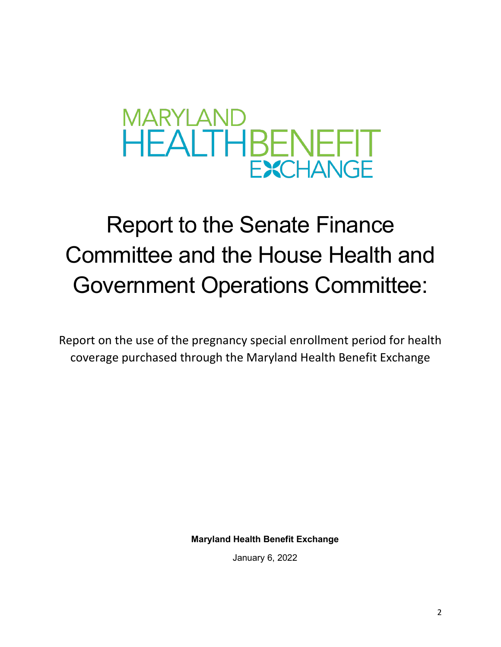

# Report to the Senate Finance Committee and the House Health and Government Operations Committee:

Report on the use of the pregnancy special enrollment period for health coverage purchased through the Maryland Health Benefit Exchange

**Maryland Health Benefit Exchange**

January 6, 2022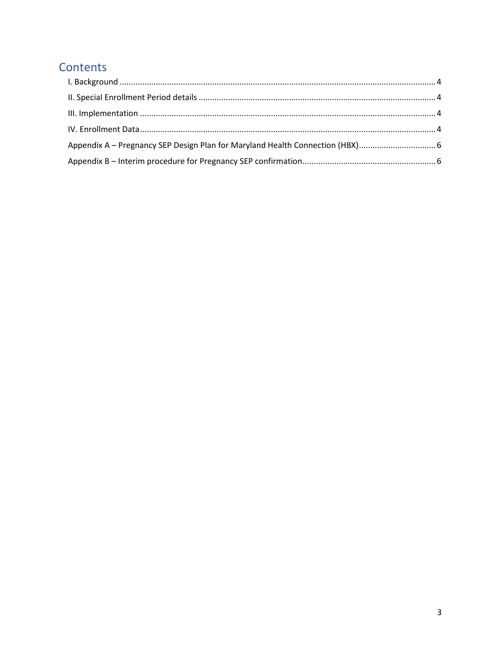### Contents

| Appendix A - Pregnancy SEP Design Plan for Maryland Health Connection (HBX) |  |
|-----------------------------------------------------------------------------|--|
|                                                                             |  |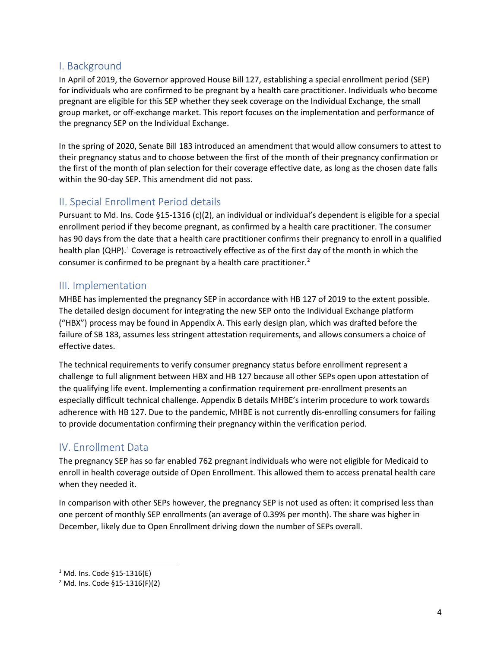#### <span id="page-3-0"></span>I. Background

In April of 2019, the Governor approved House Bill 127, establishing a special enrollment period (SEP) for individuals who are confirmed to be pregnant by a health care practitioner. Individuals who become pregnant are eligible for this SEP whether they seek coverage on the Individual Exchange, the small group market, or off-exchange market. This report focuses on the implementation and performance of the pregnancy SEP on the Individual Exchange.

In the spring of 2020, Senate Bill 183 introduced an amendment that would allow consumers to attest to their pregnancy status and to choose between the first of the month of their pregnancy confirmation or the first of the month of plan selection for their coverage effective date, as long as the chosen date falls within the 90-day SEP. This amendment did not pass.

#### <span id="page-3-1"></span>II. Special Enrollment Period details

Pursuant to Md. Ins. Code §15-1316 (c)(2), an individual or individual's dependent is eligible for a special enrollment period if they become pregnant, as confirmed by a health care practitioner. The consumer has 90 days from the date that a health care practitioner confirms their pregnancy to enroll in a qualified health plan (QHP).<sup>[1](#page-3-4)</sup> Coverage is retroactively effective as of the first day of the month in which the consumer is confirmed to be pregnant by a health care practitioner.<sup>[2](#page-3-5)</sup>

#### <span id="page-3-2"></span>III. Implementation

MHBE has implemented the pregnancy SEP in accordance with HB 127 of 2019 to the extent possible. The detailed design document for integrating the new SEP onto the Individual Exchange platform ("HBX") process may be found in Appendix A. This early design plan, which was drafted before the failure of SB 183, assumes less stringent attestation requirements, and allows consumers a choice of effective dates.

The technical requirements to verify consumer pregnancy status before enrollment represent a challenge to full alignment between HBX and HB 127 because all other SEPs open upon attestation of the qualifying life event. Implementing a confirmation requirement pre-enrollment presents an especially difficult technical challenge. Appendix B details MHBE's interim procedure to work towards adherence with HB 127. Due to the pandemic, MHBE is not currently dis-enrolling consumers for failing to provide documentation confirming their pregnancy within the verification period.

#### <span id="page-3-3"></span>IV. Enrollment Data

The pregnancy SEP has so far enabled 762 pregnant individuals who were not eligible for Medicaid to enroll in health coverage outside of Open Enrollment. This allowed them to access prenatal health care when they needed it.

In comparison with other SEPs however, the pregnancy SEP is not used as often: it comprised less than one percent of monthly SEP enrollments (an average of 0.39% per month). The share was higher in December, likely due to Open Enrollment driving down the number of SEPs overall.

<span id="page-3-4"></span><sup>1</sup> Md. Ins. Code §15-1316(E)

<span id="page-3-5"></span><sup>2</sup> Md. Ins. Code §15-1316(F)(2)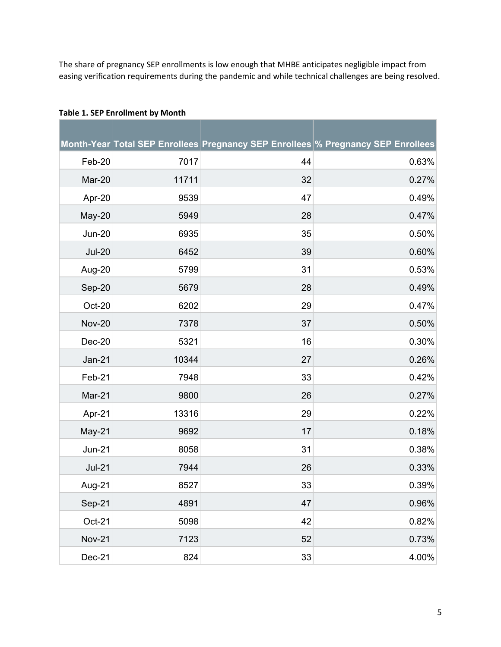The share of pregnancy SEP enrollments is low enough that MHBE anticipates negligible impact from easing verification requirements during the pandemic and while technical challenges are being resolved.

|               |       |    | Month-Year Total SEP Enrollees Pregnancy SEP Enrollees % Pregnancy SEP Enrollees |
|---------------|-------|----|----------------------------------------------------------------------------------|
| Feb-20        | 7017  | 44 | 0.63%                                                                            |
| Mar-20        | 11711 | 32 | 0.27%                                                                            |
| Apr-20        | 9539  | 47 | 0.49%                                                                            |
| May-20        | 5949  | 28 | 0.47%                                                                            |
| <b>Jun-20</b> | 6935  | 35 | 0.50%                                                                            |
| <b>Jul-20</b> | 6452  | 39 | 0.60%                                                                            |
| Aug-20        | 5799  | 31 | 0.53%                                                                            |
| Sep-20        | 5679  | 28 | 0.49%                                                                            |
| Oct-20        | 6202  | 29 | 0.47%                                                                            |
| <b>Nov-20</b> | 7378  | 37 | 0.50%                                                                            |
| $Dec-20$      | 5321  | 16 | 0.30%                                                                            |
| Jan-21        | 10344 | 27 | 0.26%                                                                            |
| Feb-21        | 7948  | 33 | 0.42%                                                                            |
| Mar-21        | 9800  | 26 | 0.27%                                                                            |
| Apr-21        | 13316 | 29 | 0.22%                                                                            |
| May-21        | 9692  | 17 | 0.18%                                                                            |
| <b>Jun-21</b> | 8058  | 31 | 0.38%                                                                            |
| $Jul-21$      | 7944  | 26 | 0.33%                                                                            |
| Aug-21        | 8527  | 33 | 0.39%                                                                            |
| Sep-21        | 4891  | 47 | 0.96%                                                                            |
| $Oct-21$      | 5098  | 42 | 0.82%                                                                            |
| <b>Nov-21</b> | 7123  | 52 | 0.73%                                                                            |
| Dec-21        | 824   | 33 | 4.00%                                                                            |

#### **Table 1. SEP Enrollment by Month**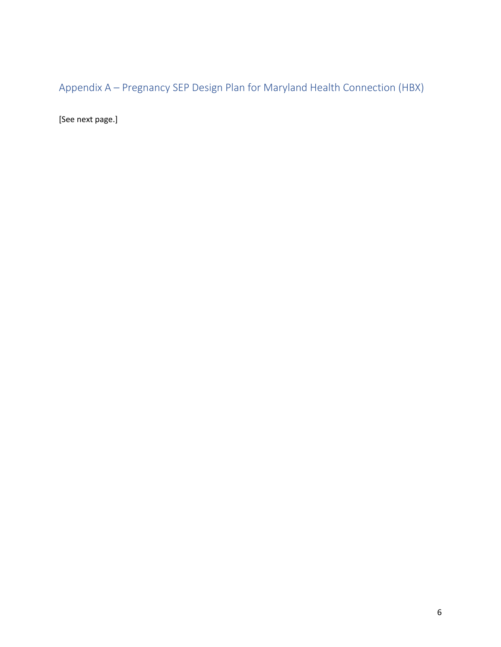<span id="page-5-0"></span>Appendix A – Pregnancy SEP Design Plan for Maryland Health Connection (HBX)

<span id="page-5-1"></span>[See next page.]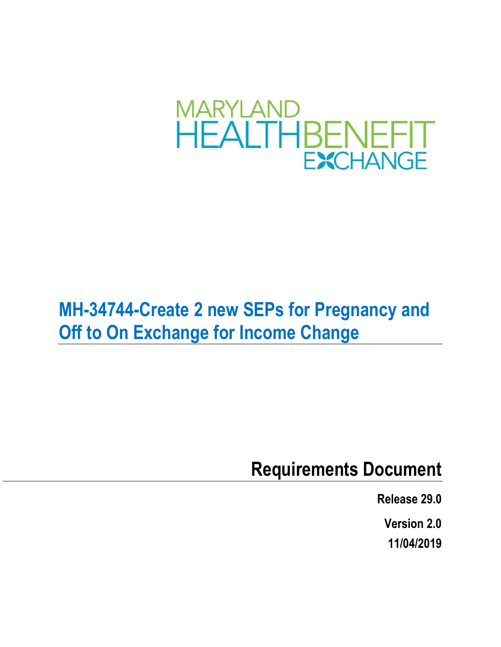

## **MH-34744-Create 2 new SEPs for Pregnancy and Off to On Exchange for Income Change**

### **Requirements Document**

**Release 29.0**

**Version 2.0**

**11/04/2019**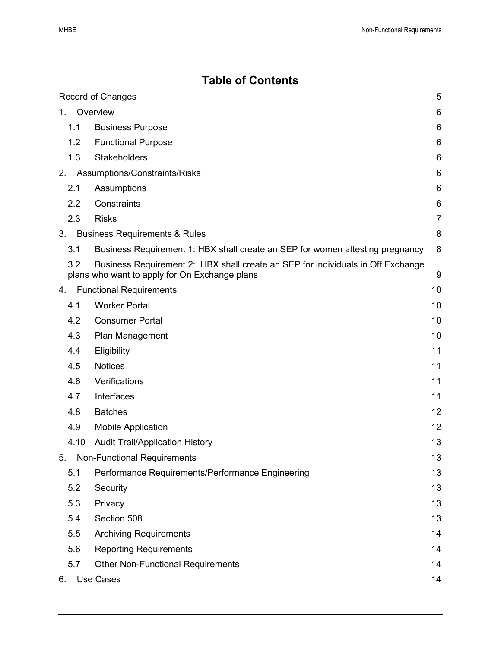### **Table of Contents**

|    |                  | <b>Record of Changes</b>                                                                                                         | 5  |
|----|------------------|----------------------------------------------------------------------------------------------------------------------------------|----|
| 1. |                  | Overview                                                                                                                         | 6  |
|    | 1.1              | <b>Business Purpose</b>                                                                                                          | 6  |
|    | 1.2              | <b>Functional Purpose</b>                                                                                                        | 6  |
|    | 1.3              | <b>Stakeholders</b>                                                                                                              | 6  |
| 2. |                  | Assumptions/Constraints/Risks                                                                                                    | 6  |
|    | 2.1              | Assumptions                                                                                                                      | 6  |
|    | $2.2\phantom{0}$ | Constraints                                                                                                                      | 6  |
|    | 2.3              | <b>Risks</b>                                                                                                                     | 7  |
| 3. |                  | <b>Business Requirements &amp; Rules</b>                                                                                         | 8  |
|    | 3.1              | Business Requirement 1: HBX shall create an SEP for women attesting pregnancy                                                    | 8  |
|    | 3.2              | Business Requirement 2: HBX shall create an SEP for individuals in Off Exchange<br>plans who want to apply for On Exchange plans | 9  |
| 4. |                  | <b>Functional Requirements</b>                                                                                                   | 10 |
|    | 4.1              | <b>Worker Portal</b>                                                                                                             | 10 |
|    | 4.2              | <b>Consumer Portal</b>                                                                                                           | 10 |
|    | 4.3              | Plan Management                                                                                                                  | 10 |
|    | 4.4              | Eligibility                                                                                                                      | 11 |
|    | 4.5              | <b>Notices</b>                                                                                                                   | 11 |
|    | 4.6              | Verifications                                                                                                                    | 11 |
|    | 4.7              | Interfaces                                                                                                                       | 11 |
|    | 4.8              | <b>Batches</b>                                                                                                                   | 12 |
|    | 4.9              | <b>Mobile Application</b>                                                                                                        | 12 |
|    | 4.10             | <b>Audit Trail/Application History</b>                                                                                           | 13 |
|    |                  | 5. Non-Functional Requirements                                                                                                   | 13 |
|    | 5.1              | Performance Requirements/Performance Engineering                                                                                 | 13 |
|    | 5.2              | Security                                                                                                                         | 13 |
|    | 5.3              | Privacy                                                                                                                          | 13 |
|    | 5.4              | Section 508                                                                                                                      | 13 |
|    | 5.5              | <b>Archiving Requirements</b>                                                                                                    | 14 |
|    | 5.6              | <b>Reporting Requirements</b>                                                                                                    | 14 |
|    | 5.7              | <b>Other Non-Functional Requirements</b>                                                                                         | 14 |
| 6. |                  | <b>Use Cases</b>                                                                                                                 | 14 |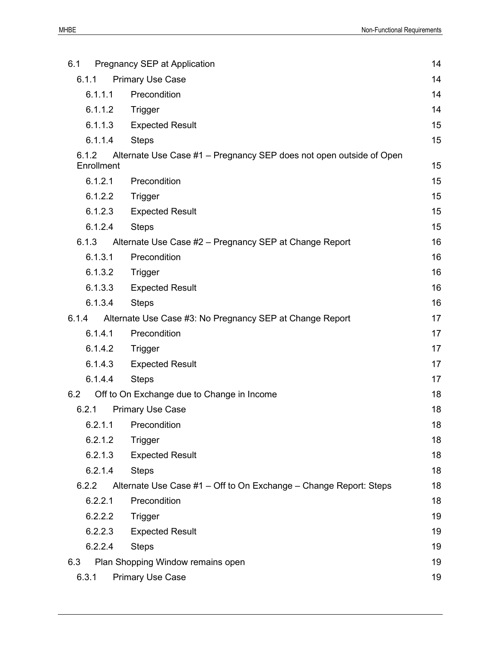| 6.1                 | Pregnancy SEP at Application                                        | 14 |
|---------------------|---------------------------------------------------------------------|----|
| 6.1.1               | <b>Primary Use Case</b>                                             | 14 |
| 6.1.1.1             | Precondition                                                        | 14 |
| 6.1.1.2             | Trigger                                                             | 14 |
| 6.1.1.3             | <b>Expected Result</b>                                              | 15 |
| 6.1.1.4             | <b>Steps</b>                                                        | 15 |
| 6.1.2<br>Enrollment | Alternate Use Case #1 - Pregnancy SEP does not open outside of Open | 15 |
| 6.1.2.1             | Precondition                                                        | 15 |
| 6.1.2.2             | Trigger                                                             | 15 |
| 6.1.2.3             | <b>Expected Result</b>                                              | 15 |
| 6.1.2.4             | <b>Steps</b>                                                        | 15 |
| 6.1.3               | Alternate Use Case #2 - Pregnancy SEP at Change Report              | 16 |
| 6.1.3.1             | Precondition                                                        | 16 |
| 6.1.3.2             | Trigger                                                             | 16 |
| 6.1.3.3             | <b>Expected Result</b>                                              | 16 |
| 6.1.3.4             | <b>Steps</b>                                                        | 16 |
| 6.1.4               | Alternate Use Case #3: No Pregnancy SEP at Change Report            | 17 |
| 6.1.4.1             | Precondition                                                        | 17 |
| 6.1.4.2             | Trigger                                                             | 17 |
| 6.1.4.3             | <b>Expected Result</b>                                              | 17 |
| 6.1.4.4             | <b>Steps</b>                                                        | 17 |
| 6.2                 | Off to On Exchange due to Change in Income                          | 18 |
| 6.2.1               | <b>Primary Use Case</b>                                             | 18 |
|                     | 6.2.1.1 Precondition                                                | 18 |
| 6.2.1.2             | Trigger                                                             | 18 |
| 6.2.1.3             | <b>Expected Result</b>                                              | 18 |
| 6.2.1.4             | <b>Steps</b>                                                        | 18 |
| 6.2.2               | Alternate Use Case #1 - Off to On Exchange - Change Report: Steps   | 18 |
| 6.2.2.1             | Precondition                                                        | 18 |
| 6.2.2.2             | <b>Trigger</b>                                                      | 19 |
| 6.2.2.3             | <b>Expected Result</b>                                              | 19 |
| 6.2.2.4             | <b>Steps</b>                                                        | 19 |
| 6.3                 | Plan Shopping Window remains open                                   | 19 |
| 6.3.1               | <b>Primary Use Case</b>                                             | 19 |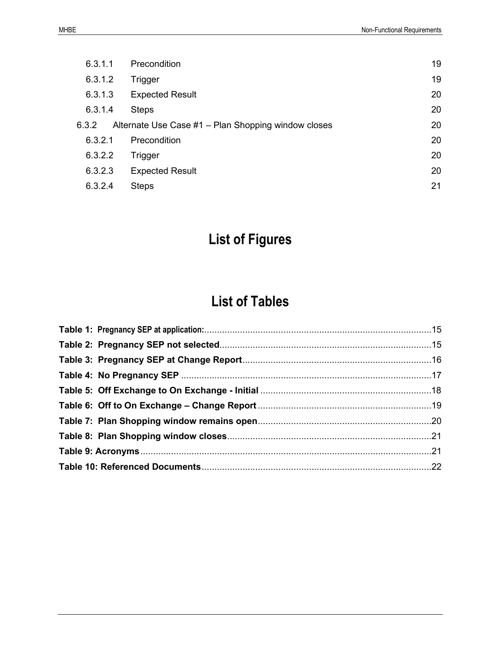| 6.3.1.1 | <b>Precondition</b>                                 | 19 |
|---------|-----------------------------------------------------|----|
| 6.3.1.2 | Trigger                                             | 19 |
| 6.3.1.3 | <b>Expected Result</b>                              | 20 |
| 6.3.1.4 | <b>Steps</b>                                        | 20 |
| 6.3.2   | Alternate Use Case #1 - Plan Shopping window closes | 20 |
| 6.3.2.1 | Precondition                                        | 20 |
| 6.3.2.2 | Trigger                                             | 20 |
| 6.3.2.3 | <b>Expected Result</b>                              | 20 |
| 6.3.2.4 | <b>Steps</b>                                        | 21 |

### **List of Figures**

### **List of Tables**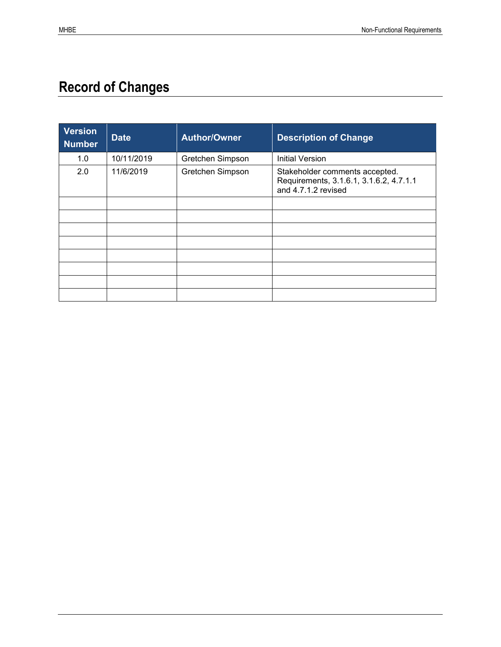### <span id="page-10-0"></span>**Record of Changes**

| <b>Version</b><br><b>Number</b> | <b>Date</b> | <b>Author/Owner</b> | <b>Description of Change</b>                                                                     |
|---------------------------------|-------------|---------------------|--------------------------------------------------------------------------------------------------|
| 1.0                             | 10/11/2019  | Gretchen Simpson    | <b>Initial Version</b>                                                                           |
| 2.0                             | 11/6/2019   | Gretchen Simpson    | Stakeholder comments accepted.<br>Requirements, 3.1.6.1, 3.1.6.2, 4.7.1.1<br>and 4.7.1.2 revised |
|                                 |             |                     |                                                                                                  |
|                                 |             |                     |                                                                                                  |
|                                 |             |                     |                                                                                                  |
|                                 |             |                     |                                                                                                  |
|                                 |             |                     |                                                                                                  |
|                                 |             |                     |                                                                                                  |
|                                 |             |                     |                                                                                                  |
|                                 |             |                     |                                                                                                  |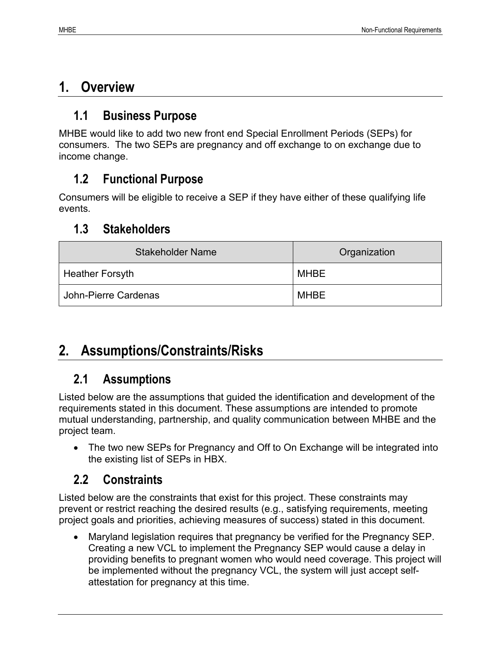### <span id="page-11-0"></span>**1. Overview**

### <span id="page-11-1"></span>**1.1 Business Purpose**

MHBE would like to add two new front end Special Enrollment Periods (SEPs) for consumers. The two SEPs are pregnancy and off exchange to on exchange due to income change.

### <span id="page-11-2"></span>**1.2 Functional Purpose**

Consumers will be eligible to receive a SEP if they have either of these qualifying life events.

### <span id="page-11-3"></span>**1.3 Stakeholders**

| <b>Stakeholder Name</b> | Organization |
|-------------------------|--------------|
| <b>Heather Forsyth</b>  | <b>MHBE</b>  |
| John-Pierre Cardenas    | <b>MHBE</b>  |

### <span id="page-11-4"></span>**2. Assumptions/Constraints/Risks**

### <span id="page-11-5"></span>**2.1 Assumptions**

Listed below are the assumptions that guided the identification and development of the requirements stated in this document. These assumptions are intended to promote mutual understanding, partnership, and quality communication between MHBE and the project team.

• The two new SEPs for Pregnancy and Off to On Exchange will be integrated into the existing list of SEPs in HBX.

### <span id="page-11-6"></span>**2.2 Constraints**

Listed below are the constraints that exist for this project. These constraints may prevent or restrict reaching the desired results (e.g., satisfying requirements, meeting project goals and priorities, achieving measures of success) stated in this document.

• Maryland legislation requires that pregnancy be verified for the Pregnancy SEP. Creating a new VCL to implement the Pregnancy SEP would cause a delay in providing benefits to pregnant women who would need coverage. This project will be implemented without the pregnancy VCL, the system will just accept selfattestation for pregnancy at this time.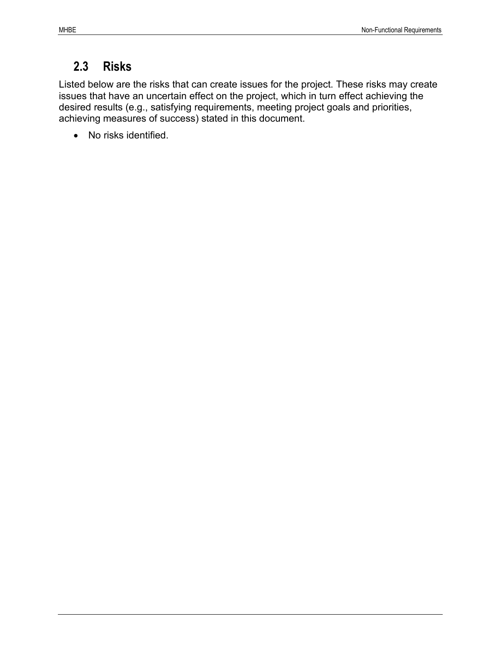### <span id="page-12-0"></span>**2.3 Risks**

Listed below are the risks that can create issues for the project. These risks may create issues that have an uncertain effect on the project, which in turn effect achieving the desired results (e.g., satisfying requirements, meeting project goals and priorities, achieving measures of success) stated in this document.

• No risks identified.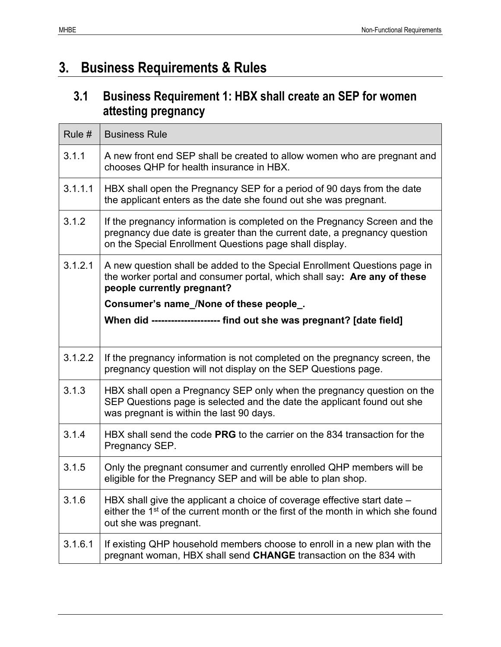### <span id="page-13-0"></span>**3. Business Requirements & Rules**

### <span id="page-13-1"></span>**3.1 Business Requirement 1: HBX shall create an SEP for women attesting pregnancy**

| Rule #  | <b>Business Rule</b>                                                                                                                                                                                              |
|---------|-------------------------------------------------------------------------------------------------------------------------------------------------------------------------------------------------------------------|
| 3.1.1   | A new front end SEP shall be created to allow women who are pregnant and<br>chooses QHP for health insurance in HBX.                                                                                              |
| 3.1.1.1 | HBX shall open the Pregnancy SEP for a period of 90 days from the date<br>the applicant enters as the date she found out she was pregnant.                                                                        |
| 3.1.2   | If the pregnancy information is completed on the Pregnancy Screen and the<br>pregnancy due date is greater than the current date, a pregnancy question<br>on the Special Enrollment Questions page shall display. |
| 3.1.2.1 | A new question shall be added to the Special Enrollment Questions page in<br>the worker portal and consumer portal, which shall say: Are any of these<br>people currently pregnant?                               |
|         | Consumer's name_/None of these people_.                                                                                                                                                                           |
|         | When did --------------------- find out she was pregnant? [date field]                                                                                                                                            |
|         |                                                                                                                                                                                                                   |
| 3.1.2.2 | If the pregnancy information is not completed on the pregnancy screen, the<br>pregnancy question will not display on the SEP Questions page.                                                                      |
| 3.1.3   | HBX shall open a Pregnancy SEP only when the pregnancy question on the<br>SEP Questions page is selected and the date the applicant found out she<br>was pregnant is within the last 90 days.                     |
| 3.1.4   | HBX shall send the code PRG to the carrier on the 834 transaction for the<br>Pregnancy SEP.                                                                                                                       |
| 3.1.5   | Only the pregnant consumer and currently enrolled QHP members will be<br>eligible for the Pregnancy SEP and will be able to plan shop.                                                                            |
| 3.1.6   | HBX shall give the applicant a choice of coverage effective start date –<br>either the 1 <sup>st</sup> of the current month or the first of the month in which she found<br>out she was pregnant.                 |
| 3.1.6.1 | If existing QHP household members choose to enroll in a new plan with the<br>pregnant woman, HBX shall send CHANGE transaction on the 834 with                                                                    |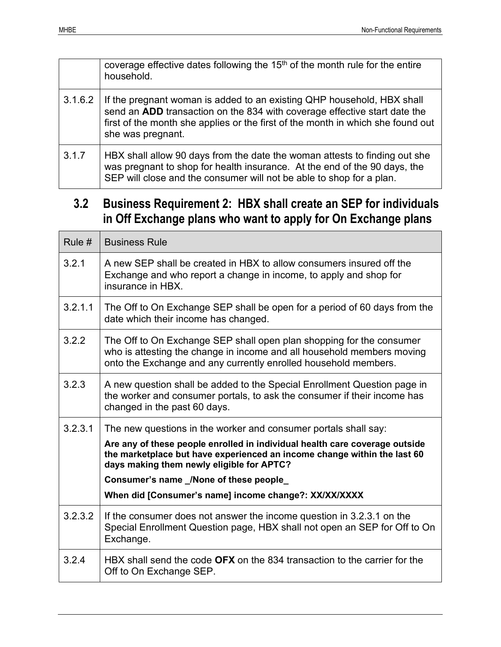|         | coverage effective dates following the $15th$ of the month rule for the entire<br>household.                                                                                                                                                                |
|---------|-------------------------------------------------------------------------------------------------------------------------------------------------------------------------------------------------------------------------------------------------------------|
| 3.1.6.2 | If the pregnant woman is added to an existing QHP household, HBX shall<br>send an ADD transaction on the 834 with coverage effective start date the<br>first of the month she applies or the first of the month in which she found out<br>she was pregnant. |
| 3.1.7   | HBX shall allow 90 days from the date the woman attests to finding out she<br>was pregnant to shop for health insurance. At the end of the 90 days, the<br>SEP will close and the consumer will not be able to shop for a plan.                             |

### <span id="page-14-0"></span>**3.2 Business Requirement 2: HBX shall create an SEP for individuals in Off Exchange plans who want to apply for On Exchange plans**

| Rule #  | <b>Business Rule</b>                                                                                                                                                                                              |
|---------|-------------------------------------------------------------------------------------------------------------------------------------------------------------------------------------------------------------------|
| 3.2.1   | A new SEP shall be created in HBX to allow consumers insured off the<br>Exchange and who report a change in income, to apply and shop for<br>insurance in HBX.                                                    |
| 3.2.1.1 | The Off to On Exchange SEP shall be open for a period of 60 days from the<br>date which their income has changed.                                                                                                 |
| 3.2.2   | The Off to On Exchange SEP shall open plan shopping for the consumer<br>who is attesting the change in income and all household members moving<br>onto the Exchange and any currently enrolled household members. |
| 3.2.3   | A new question shall be added to the Special Enrollment Question page in<br>the worker and consumer portals, to ask the consumer if their income has<br>changed in the past 60 days.                              |
| 3.2.3.1 | The new questions in the worker and consumer portals shall say:                                                                                                                                                   |
|         | Are any of these people enrolled in individual health care coverage outside<br>the marketplace but have experienced an income change within the last 60<br>days making them newly eligible for APTC?              |
|         | Consumer's name /None of these people                                                                                                                                                                             |
|         | When did [Consumer's name] income change?: XX/XX/XXXX                                                                                                                                                             |
| 3.2.3.2 | If the consumer does not answer the income question in 3.2.3.1 on the<br>Special Enrollment Question page, HBX shall not open an SEP for Off to On<br>Exchange.                                                   |
| 3.2.4   | HBX shall send the code <b>OFX</b> on the 834 transaction to the carrier for the<br>Off to On Exchange SEP.                                                                                                       |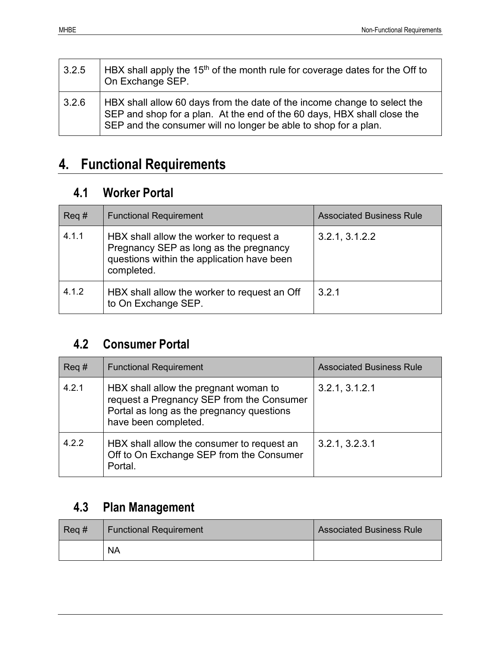| 3.2.5 | $\vert$ HBX shall apply the 15 <sup>th</sup> of the month rule for coverage dates for the Off to<br>On Exchange SEP.                                                                                                   |
|-------|------------------------------------------------------------------------------------------------------------------------------------------------------------------------------------------------------------------------|
| 3.2.6 | HBX shall allow 60 days from the date of the income change to select the<br>SEP and shop for a plan. At the end of the 60 days, HBX shall close the<br>SEP and the consumer will no longer be able to shop for a plan. |

### <span id="page-15-0"></span>**4. Functional Requirements**

### <span id="page-15-1"></span>**4.1 Worker Portal**

| $Req \#$ | <b>Functional Requirement</b>                                                                                                                 | <b>Associated Business Rule</b> |
|----------|-----------------------------------------------------------------------------------------------------------------------------------------------|---------------------------------|
| 4.1.1    | HBX shall allow the worker to request a<br>Pregnancy SEP as long as the pregnancy<br>questions within the application have been<br>completed. | 3.2.1, 3.1.2.2                  |
| 4.1.2    | HBX shall allow the worker to request an Off<br>to On Exchange SEP.                                                                           | 3.2.1                           |

### <span id="page-15-2"></span>**4.2 Consumer Portal**

| $\text{Req}\,\text{\#}$ | <b>Functional Requirement</b>                                                                                                                           | <b>Associated Business Rule</b> |
|-------------------------|---------------------------------------------------------------------------------------------------------------------------------------------------------|---------------------------------|
| 4.2.1                   | HBX shall allow the pregnant woman to<br>request a Pregnancy SEP from the Consumer<br>Portal as long as the pregnancy questions<br>have been completed. | 3.2.1, 3.1.2.1                  |
| 4.2.2                   | HBX shall allow the consumer to request an<br>Off to On Exchange SEP from the Consumer<br>Portal.                                                       | 3.2.1, 3.2.3.1                  |

### <span id="page-15-3"></span>**4.3 Plan Management**

| $Req \#$ | <b>Functional Requirement</b> | <b>Associated Business Rule</b> |
|----------|-------------------------------|---------------------------------|
|          | <b>NA</b>                     |                                 |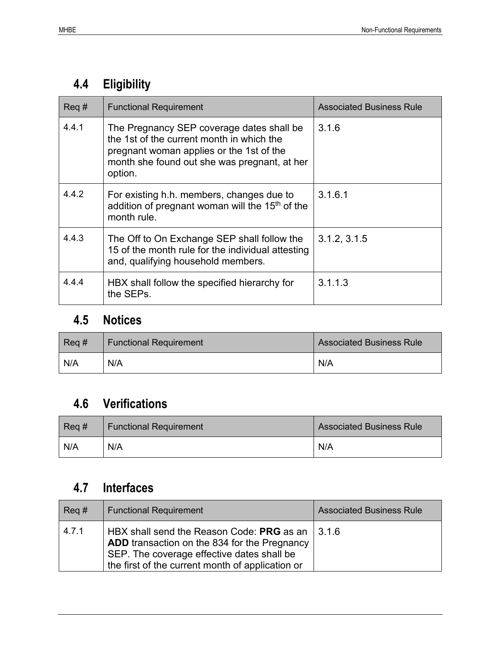### <span id="page-16-0"></span>**4.4 Eligibility**

| $Req \#$ | <b>Functional Requirement</b>                                                                                                                                                                 | <b>Associated Business Rule</b> |
|----------|-----------------------------------------------------------------------------------------------------------------------------------------------------------------------------------------------|---------------------------------|
| 4.4.1    | The Pregnancy SEP coverage dates shall be<br>the 1st of the current month in which the<br>pregnant woman applies or the 1st of the<br>month she found out she was pregnant, at her<br>option. | 3.1.6                           |
| 4.4.2    | For existing h.h. members, changes due to<br>addition of pregnant woman will the 15 <sup>th</sup> of the<br>month rule.                                                                       | 3.1.6.1                         |
| 4.4.3    | The Off to On Exchange SEP shall follow the<br>15 of the month rule for the individual attesting<br>and, qualifying household members.                                                        | 3.1.2, 3.1.5                    |
| 4.4.4    | HBX shall follow the specified hierarchy for<br>the SEPs.                                                                                                                                     | 3.1.1.3                         |

### <span id="page-16-1"></span>**4.5 Notices**

| $\text{Req}\,\text{\#}$ | <b>Functional Requirement</b> | <b>Associated Business Rule</b> |
|-------------------------|-------------------------------|---------------------------------|
| N/A                     | N/A                           | N/A                             |

### <span id="page-16-2"></span>**4.6 Verifications**

| $\text{Req}\,\text{\#}$ | <b>Functional Requirement</b> | <b>Associated Business Rule</b> |
|-------------------------|-------------------------------|---------------------------------|
| N/A                     | N/A                           | N/A                             |

### <span id="page-16-3"></span>**4.7 Interfaces**

| $\text{Req}\,\text{\#}$ | <b>Functional Requirement</b>                                                                                                                                                                                    | <b>Associated Business Rule</b> |
|-------------------------|------------------------------------------------------------------------------------------------------------------------------------------------------------------------------------------------------------------|---------------------------------|
| 4.7.1                   | HBX shall send the Reason Code: PRG as an $\vert$ 3.1.6<br><b>ADD</b> transaction on the 834 for the Pregnancy<br>SEP. The coverage effective dates shall be<br>the first of the current month of application or |                                 |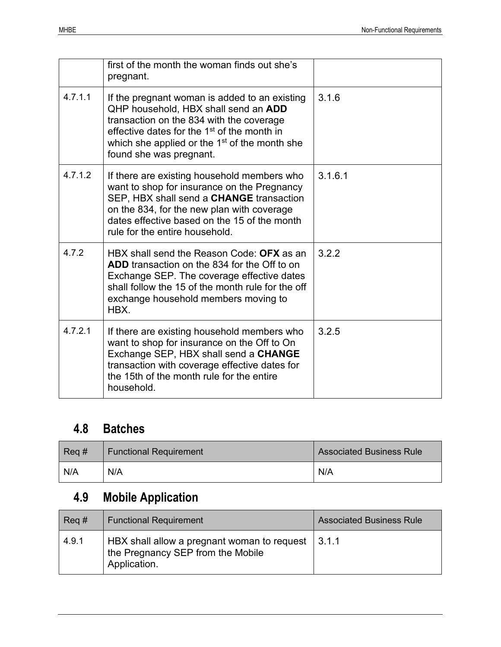|         | first of the month the woman finds out she's<br>pregnant.                                                                                                                                                                                                                            |         |
|---------|--------------------------------------------------------------------------------------------------------------------------------------------------------------------------------------------------------------------------------------------------------------------------------------|---------|
| 4.7.1.1 | If the pregnant woman is added to an existing<br>QHP household, HBX shall send an ADD<br>transaction on the 834 with the coverage<br>effective dates for the 1 <sup>st</sup> of the month in<br>which she applied or the 1 <sup>st</sup> of the month she<br>found she was pregnant. | 3.1.6   |
| 4.7.1.2 | If there are existing household members who<br>want to shop for insurance on the Pregnancy<br>SEP, HBX shall send a CHANGE transaction<br>on the 834, for the new plan with coverage<br>dates effective based on the 15 of the month<br>rule for the entire household.               | 3.1.6.1 |
| 4.7.2   | HBX shall send the Reason Code: OFX as an<br><b>ADD</b> transaction on the 834 for the Off to on<br>Exchange SEP. The coverage effective dates<br>shall follow the 15 of the month rule for the off<br>exchange household members moving to<br>HBX.                                  | 3.2.2   |
| 4.7.2.1 | If there are existing household members who<br>want to shop for insurance on the Off to On<br>Exchange SEP, HBX shall send a CHANGE<br>transaction with coverage effective dates for<br>the 15th of the month rule for the entire<br>household.                                      | 3.2.5   |

### <span id="page-17-0"></span>**4.8 Batches**

| $Req \#$ | <b>Functional Requirement</b> | <b>Associated Business Rule</b> |
|----------|-------------------------------|---------------------------------|
| N/A      | N/A                           | N/A                             |

### <span id="page-17-1"></span>**4.9 Mobile Application**

| $Req \#$ | <b>Functional Requirement</b>                                                                    | <b>Associated Business Rule</b> |
|----------|--------------------------------------------------------------------------------------------------|---------------------------------|
| 4.9.1    | HBX shall allow a pregnant woman to request<br>the Pregnancy SEP from the Mobile<br>Application. | 13.1.1                          |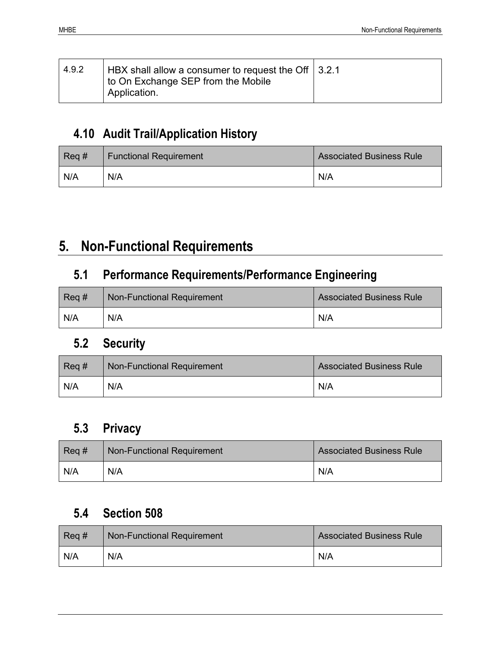| 4.9.2 | HBX shall allow a consumer to request the Off $\vert$ 3.2.1<br>to On Exchange SEP from the Mobile<br>Application. |  |
|-------|-------------------------------------------------------------------------------------------------------------------|--|
|-------|-------------------------------------------------------------------------------------------------------------------|--|

### <span id="page-18-0"></span>**4.10 Audit Trail/Application History**

| $Req \#$ | <b>Functional Requirement</b> | <b>Associated Business Rule</b> |
|----------|-------------------------------|---------------------------------|
| N/A      | N/A                           | N/A                             |

### <span id="page-18-1"></span>**5. Non-Functional Requirements**

### <span id="page-18-2"></span>**5.1 Performance Requirements/Performance Engineering**

| $Req \#$ | <b>Non-Functional Requirement</b> | <b>Associated Business Rule</b> |
|----------|-----------------------------------|---------------------------------|
| N/A      | N/A                               | N/A                             |

### <span id="page-18-3"></span>**5.2 Security**

| $Req \#$ | <b>Non-Functional Requirement</b> | <b>Associated Business Rule</b> |
|----------|-----------------------------------|---------------------------------|
| N/A      | N/A                               | N/A                             |

### <span id="page-18-4"></span>**5.3 Privacy**

| $Req \neq$ | <b>Non-Functional Requirement</b> | <b>Associated Business Rule</b> |
|------------|-----------------------------------|---------------------------------|
| N/A        | N/A                               | N/A                             |

### <span id="page-18-5"></span>**5.4 Section 508**

| $Req \#$ | <b>Non-Functional Requirement</b> | <b>Associated Business Rule</b> |
|----------|-----------------------------------|---------------------------------|
| N/A      | N/A                               | N/A                             |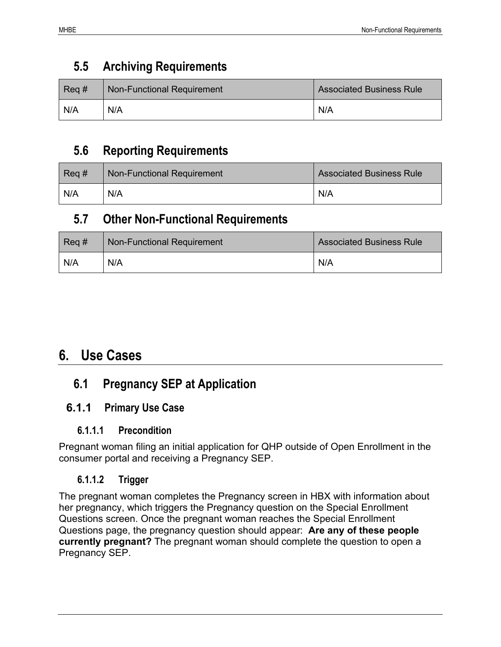### <span id="page-19-0"></span>**5.5 Archiving Requirements**

| $\text{Req}\,\text{\#}$ | Non-Functional Requirement | <b>Associated Business Rule</b> |
|-------------------------|----------------------------|---------------------------------|
| N/A                     | N/A                        | N/A                             |

### <span id="page-19-1"></span>**5.6 Reporting Requirements**

| $Rec$ # | <b>Non-Functional Requirement</b> | <b>Associated Business Rule</b> |
|---------|-----------------------------------|---------------------------------|
| N/A     | N/A                               | N/A                             |

### <span id="page-19-2"></span>**5.7 Other Non-Functional Requirements**

| $Req \#$ | <b>Non-Functional Requirement</b> | <b>Associated Business Rule</b> |
|----------|-----------------------------------|---------------------------------|
| N/A      | N/A                               | N/A                             |

### <span id="page-19-3"></span>**6. Use Cases**

### <span id="page-19-4"></span>**6.1 Pregnancy SEP at Application**

### <span id="page-19-6"></span><span id="page-19-5"></span>**6.1.1 Primary Use Case**

#### **6.1.1.1 Precondition**

Pregnant woman filing an initial application for QHP outside of Open Enrollment in the consumer portal and receiving a Pregnancy SEP.

#### <span id="page-19-7"></span>**6.1.1.2 Trigger**

The pregnant woman completes the Pregnancy screen in HBX with information about her pregnancy, which triggers the Pregnancy question on the Special Enrollment Questions screen. Once the pregnant woman reaches the Special Enrollment Questions page, the pregnancy question should appear: **Are any of these people currently pregnant?** The pregnant woman should complete the question to open a Pregnancy SEP.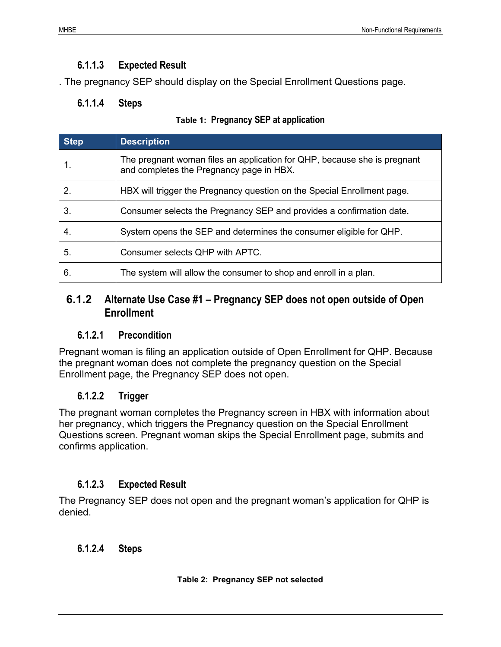#### **6.1.1.3 Expected Result**

<span id="page-20-1"></span><span id="page-20-0"></span>. The pregnancy SEP should display on the Special Enrollment Questions page.

#### **6.1.1.4 Steps**

|  | Table 1: Pregnancy SEP at application |
|--|---------------------------------------|
|  |                                       |

<span id="page-20-7"></span>

| <b>Step</b> | <b>Description</b>                                                                                                   |
|-------------|----------------------------------------------------------------------------------------------------------------------|
|             | The pregnant woman files an application for QHP, because she is pregnant<br>and completes the Pregnancy page in HBX. |
| 2.          | HBX will trigger the Pregnancy question on the Special Enrollment page.                                              |
| 3.          | Consumer selects the Pregnancy SEP and provides a confirmation date.                                                 |
| 4.          | System opens the SEP and determines the consumer eligible for QHP.                                                   |
| 5.          | Consumer selects QHP with APTC.                                                                                      |
| 6.          | The system will allow the consumer to shop and enroll in a plan.                                                     |

#### <span id="page-20-2"></span>**6.1.2 Alternate Use Case #1 – Pregnancy SEP does not open outside of Open Enrollment**

#### <span id="page-20-3"></span>**6.1.2.1 Precondition**

Pregnant woman is filing an application outside of Open Enrollment for QHP. Because the pregnant woman does not complete the pregnancy question on the Special Enrollment page, the Pregnancy SEP does not open.

#### <span id="page-20-4"></span>**6.1.2.2 Trigger**

The pregnant woman completes the Pregnancy screen in HBX with information about her pregnancy, which triggers the Pregnancy question on the Special Enrollment Questions screen. Pregnant woman skips the Special Enrollment page, submits and confirms application.

#### <span id="page-20-5"></span>**6.1.2.3 Expected Result**

The Pregnancy SEP does not open and the pregnant woman's application for QHP is denied.

#### <span id="page-20-8"></span><span id="page-20-6"></span>**6.1.2.4 Steps**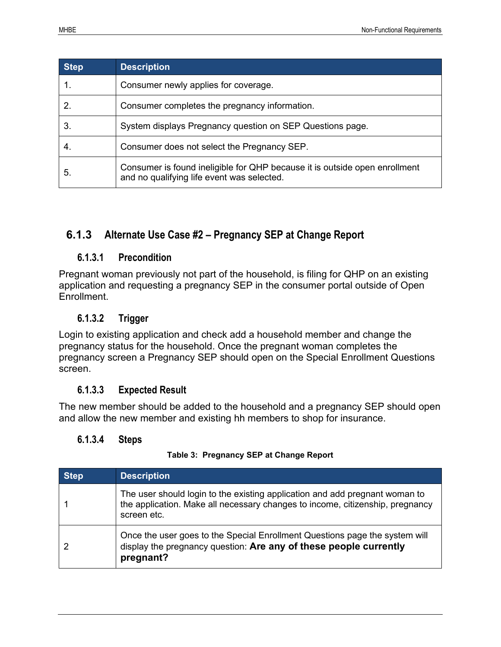| <b>Step</b> | <b>Description</b>                                                                                                       |
|-------------|--------------------------------------------------------------------------------------------------------------------------|
|             | Consumer newly applies for coverage.                                                                                     |
|             | Consumer completes the pregnancy information.                                                                            |
| 3.          | System displays Pregnancy question on SEP Questions page.                                                                |
| 4.          | Consumer does not select the Pregnancy SEP.                                                                              |
| 5.          | Consumer is found ineligible for QHP because it is outside open enrollment<br>and no qualifying life event was selected. |

#### <span id="page-21-1"></span><span id="page-21-0"></span>**6.1.3 Alternate Use Case #2 – Pregnancy SEP at Change Report**

#### **6.1.3.1 Precondition**

Pregnant woman previously not part of the household, is filing for QHP on an existing application and requesting a pregnancy SEP in the consumer portal outside of Open Enrollment.

#### <span id="page-21-2"></span>**6.1.3.2 Trigger**

Login to existing application and check add a household member and change the pregnancy status for the household. Once the pregnant woman completes the pregnancy screen a Pregnancy SEP should open on the Special Enrollment Questions screen.

#### <span id="page-21-3"></span>**6.1.3.3 Expected Result**

The new member should be added to the household and a pregnancy SEP should open and allow the new member and existing hh members to shop for insurance.

#### <span id="page-21-4"></span>**6.1.3.4 Steps**

#### **Table 3: Pregnancy SEP at Change Report**

<span id="page-21-5"></span>

| <b>Step</b> | <b>Description</b>                                                                                                                                                          |
|-------------|-----------------------------------------------------------------------------------------------------------------------------------------------------------------------------|
|             | The user should login to the existing application and add pregnant woman to<br>the application. Make all necessary changes to income, citizenship, pregnancy<br>screen etc. |
|             | Once the user goes to the Special Enrollment Questions page the system will<br>display the pregnancy question: Are any of these people currently<br>pregnant?               |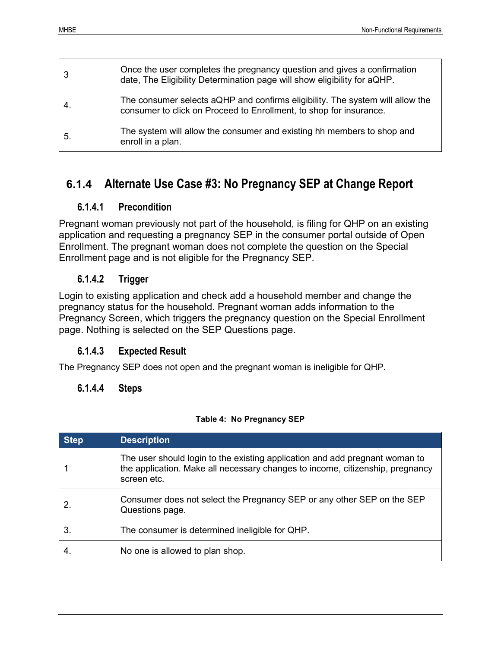| 3  | Once the user completes the pregnancy question and gives a confirmation<br>date, The Eligibility Determination page will show eligibility for aQHP. |
|----|-----------------------------------------------------------------------------------------------------------------------------------------------------|
| 4. | The consumer selects aQHP and confirms eligibility. The system will allow the<br>consumer to click on Proceed to Enrollment, to shop for insurance. |
| 5. | The system will allow the consumer and existing hh members to shop and<br>enroll in a plan.                                                         |

### <span id="page-22-0"></span>**6.1.4 Alternate Use Case #3: No Pregnancy SEP at Change Report**

#### <span id="page-22-1"></span>**6.1.4.1 Precondition**

Pregnant woman previously not part of the household, is filing for QHP on an existing application and requesting a pregnancy SEP in the consumer portal outside of Open Enrollment. The pregnant woman does not complete the question on the Special Enrollment page and is not eligible for the Pregnancy SEP.

#### <span id="page-22-2"></span>**6.1.4.2 Trigger**

Login to existing application and check add a household member and change the pregnancy status for the household. Pregnant woman adds information to the Pregnancy Screen, which triggers the pregnancy question on the Special Enrollment page. Nothing is selected on the SEP Questions page.

#### <span id="page-22-3"></span>**6.1.4.3 Expected Result**

<span id="page-22-4"></span>The Pregnancy SEP does not open and the pregnant woman is ineligible for QHP.

#### **6.1.4.4 Steps**

#### **Table 4: No Pregnancy SEP**

<span id="page-22-5"></span>

| <b>Step</b> | <b>Description</b>                                                                                                                                                          |
|-------------|-----------------------------------------------------------------------------------------------------------------------------------------------------------------------------|
|             | The user should login to the existing application and add pregnant woman to<br>the application. Make all necessary changes to income, citizenship, pregnancy<br>screen etc. |
|             | Consumer does not select the Pregnancy SEP or any other SEP on the SEP<br>Questions page.                                                                                   |
| 3.          | The consumer is determined ineligible for QHP.                                                                                                                              |
|             | No one is allowed to plan shop.                                                                                                                                             |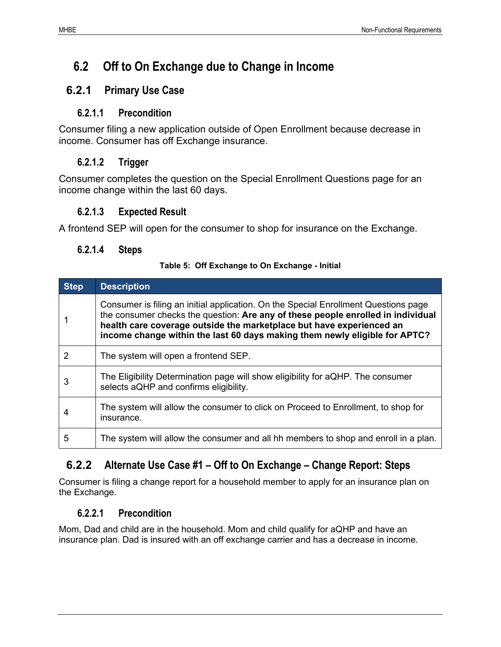### <span id="page-23-0"></span>**6.2 Off to On Exchange due to Change in Income**

#### <span id="page-23-2"></span><span id="page-23-1"></span>**6.2.1 Primary Use Case**

#### **6.2.1.1 Precondition**

Consumer filing a new application outside of Open Enrollment because decrease in income. Consumer has off Exchange insurance.

#### <span id="page-23-3"></span>**6.2.1.2 Trigger**

Consumer completes the question on the Special Enrollment Questions page for an income change within the last 60 days.

#### <span id="page-23-4"></span>**6.2.1.3 Expected Result**

<span id="page-23-5"></span>A frontend SEP will open for the consumer to shop for insurance on the Exchange.

#### **6.2.1.4 Steps**

#### **Table 5: Off Exchange to On Exchange - Initial**

<span id="page-23-8"></span>

| <b>Step</b> | <b>Description</b>                                                                                                                                                                                                                                                                                                            |
|-------------|-------------------------------------------------------------------------------------------------------------------------------------------------------------------------------------------------------------------------------------------------------------------------------------------------------------------------------|
|             | Consumer is filing an initial application. On the Special Enrollment Questions page<br>the consumer checks the question: Are any of these people enrolled in individual<br>health care coverage outside the marketplace but have experienced an<br>income change within the last 60 days making them newly eligible for APTC? |
| 2           | The system will open a frontend SEP.                                                                                                                                                                                                                                                                                          |
| 3           | The Eligibility Determination page will show eligibility for aQHP. The consumer<br>selects aQHP and confirms eligibility.                                                                                                                                                                                                     |
| 4           | The system will allow the consumer to click on Proceed to Enrollment, to shop for<br>insurance.                                                                                                                                                                                                                               |
| 5           | The system will allow the consumer and all hh members to shop and enroll in a plan.                                                                                                                                                                                                                                           |

### <span id="page-23-6"></span>**6.2.2 Alternate Use Case #1 – Off to On Exchange – Change Report: Steps**

Consumer is filing a change report for a household member to apply for an insurance plan on the Exchange.

#### <span id="page-23-7"></span>**6.2.2.1 Precondition**

Mom, Dad and child are in the household. Mom and child qualify for aQHP and have an insurance plan. Dad is insured with an off exchange carrier and has a decrease in income.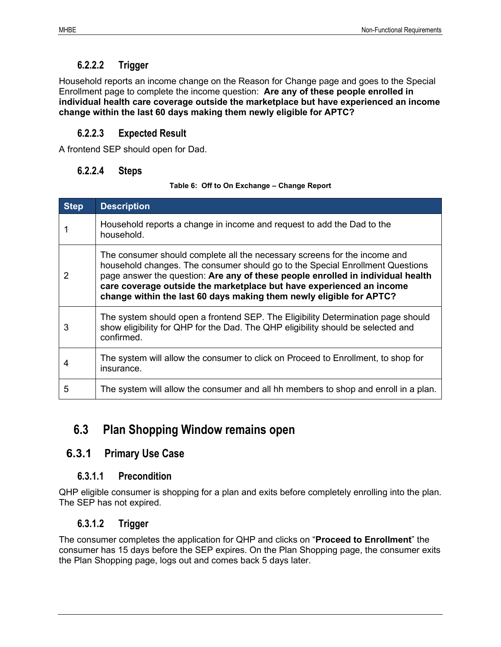#### **6.2.2.2 Trigger**

<span id="page-24-0"></span>Household reports an income change on the Reason for Change page and goes to the Special Enrollment page to complete the income question: **Are any of these people enrolled in individual health care coverage outside the marketplace but have experienced an income change within the last 60 days making them newly eligible for APTC?**

#### <span id="page-24-1"></span>**6.2.2.3 Expected Result**

<span id="page-24-2"></span>A frontend SEP should open for Dad.

#### **6.2.2.4 Steps**

#### **Table 6: Off to On Exchange – Change Report**

<span id="page-24-7"></span>

| <b>Step</b> | <b>Description</b>                                                                                                                                                                                                                                                                                                                                                                           |
|-------------|----------------------------------------------------------------------------------------------------------------------------------------------------------------------------------------------------------------------------------------------------------------------------------------------------------------------------------------------------------------------------------------------|
|             | Household reports a change in income and request to add the Dad to the<br>household.                                                                                                                                                                                                                                                                                                         |
|             | The consumer should complete all the necessary screens for the income and<br>household changes. The consumer should go to the Special Enrollment Questions<br>page answer the question: Are any of these people enrolled in individual health<br>care coverage outside the marketplace but have experienced an income<br>change within the last 60 days making them newly eligible for APTC? |
| 3           | The system should open a frontend SEP. The Eligibility Determination page should<br>show eligibility for QHP for the Dad. The QHP eligibility should be selected and<br>confirmed.                                                                                                                                                                                                           |
| 4           | The system will allow the consumer to click on Proceed to Enrollment, to shop for<br>insurance.                                                                                                                                                                                                                                                                                              |
| 5           | The system will allow the consumer and all hh members to shop and enroll in a plan.                                                                                                                                                                                                                                                                                                          |

### <span id="page-24-3"></span>**6.3 Plan Shopping Window remains open**

#### <span id="page-24-5"></span><span id="page-24-4"></span>**6.3.1 Primary Use Case**

#### **6.3.1.1 Precondition**

QHP eligible consumer is shopping for a plan and exits before completely enrolling into the plan. The SEP has not expired.

#### <span id="page-24-6"></span>**6.3.1.2 Trigger**

The consumer completes the application for QHP and clicks on "**Proceed to Enrollment**" the consumer has 15 days before the SEP expires. On the Plan Shopping page, the consumer exits the Plan Shopping page, logs out and comes back 5 days later.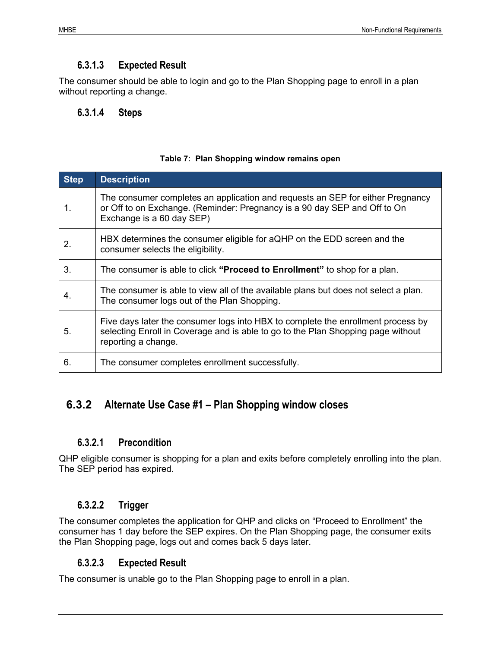#### **6.3.1.3 Expected Result**

<span id="page-25-0"></span>The consumer should be able to login and go to the Plan Shopping page to enroll in a plan without reporting a change.

#### <span id="page-25-1"></span>**6.3.1.4 Steps**

#### **Table 7: Plan Shopping window remains open**

<span id="page-25-6"></span>

| <b>Step</b> | <b>Description</b>                                                                                                                                                                          |
|-------------|---------------------------------------------------------------------------------------------------------------------------------------------------------------------------------------------|
| 1.          | The consumer completes an application and requests an SEP for either Pregnancy<br>or Off to on Exchange. (Reminder: Pregnancy is a 90 day SEP and Off to On<br>Exchange is a 60 day SEP)    |
| 2.          | HBX determines the consumer eligible for aQHP on the EDD screen and the<br>consumer selects the eligibility.                                                                                |
| 3.          | The consumer is able to click " <b>Proceed to Enrollment</b> " to shop for a plan.                                                                                                          |
| 4.          | The consumer is able to view all of the available plans but does not select a plan.<br>The consumer logs out of the Plan Shopping.                                                          |
| 5.          | Five days later the consumer logs into HBX to complete the enrollment process by<br>selecting Enroll in Coverage and is able to go to the Plan Shopping page without<br>reporting a change. |
| 6.          | The consumer completes enrollment successfully.                                                                                                                                             |

#### <span id="page-25-2"></span>**6.3.2 Alternate Use Case #1 – Plan Shopping window closes**

#### <span id="page-25-3"></span>**6.3.2.1 Precondition**

QHP eligible consumer is shopping for a plan and exits before completely enrolling into the plan. The SEP period has expired.

#### <span id="page-25-4"></span>**6.3.2.2 Trigger**

The consumer completes the application for QHP and clicks on "Proceed to Enrollment" the consumer has 1 day before the SEP expires. On the Plan Shopping page, the consumer exits the Plan Shopping page, logs out and comes back 5 days later.

#### <span id="page-25-5"></span>**6.3.2.3 Expected Result**

The consumer is unable go to the Plan Shopping page to enroll in a plan.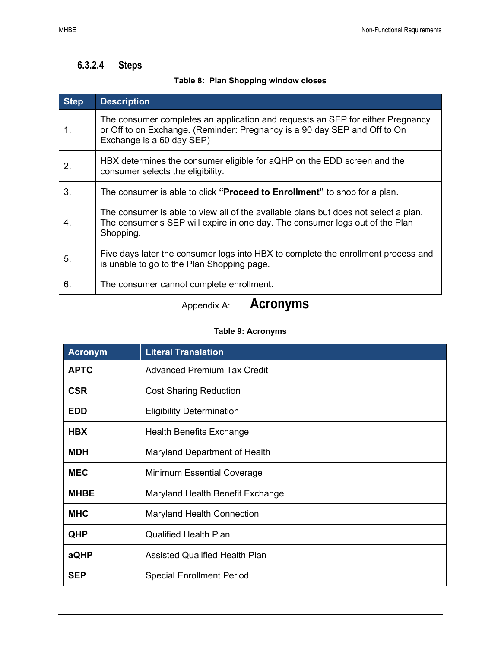#### <span id="page-26-0"></span>**6.3.2.4 Steps**

#### **Table 8: Plan Shopping window closes**

<span id="page-26-1"></span>

| <b>Step</b> | <b>Description</b>                                                                                                                                                                       |
|-------------|------------------------------------------------------------------------------------------------------------------------------------------------------------------------------------------|
| 1.          | The consumer completes an application and requests an SEP for either Pregnancy<br>or Off to on Exchange. (Reminder: Pregnancy is a 90 day SEP and Off to On<br>Exchange is a 60 day SEP) |
| 2.          | HBX determines the consumer eligible for aQHP on the EDD screen and the<br>consumer selects the eligibility.                                                                             |
| 3.          | The consumer is able to click " <b>Proceed to Enrollment</b> " to shop for a plan.                                                                                                       |
| 4.          | The consumer is able to view all of the available plans but does not select a plan.<br>The consumer's SEP will expire in one day. The consumer logs out of the Plan<br>Shopping.         |
| 5.          | Five days later the consumer logs into HBX to complete the enrollment process and<br>is unable to go to the Plan Shopping page.                                                          |
| 6.          | The consumer cannot complete enrollment.                                                                                                                                                 |

### Appendix A: **Acronyms**

#### **Table 9: Acronyms**

<span id="page-26-2"></span>

| <b>Acronym</b> | <b>Literal Translation</b>            |
|----------------|---------------------------------------|
| <b>APTC</b>    | <b>Advanced Premium Tax Credit</b>    |
| <b>CSR</b>     | <b>Cost Sharing Reduction</b>         |
| <b>EDD</b>     | <b>Eligibility Determination</b>      |
| <b>HBX</b>     | Health Benefits Exchange              |
| <b>MDH</b>     | Maryland Department of Health         |
| <b>MEC</b>     | <b>Minimum Essential Coverage</b>     |
| <b>MHBE</b>    | Maryland Health Benefit Exchange      |
| <b>MHC</b>     | <b>Maryland Health Connection</b>     |
| QHP            | <b>Qualified Health Plan</b>          |
| aQHP           | <b>Assisted Qualified Health Plan</b> |
| <b>SEP</b>     | <b>Special Enrollment Period</b>      |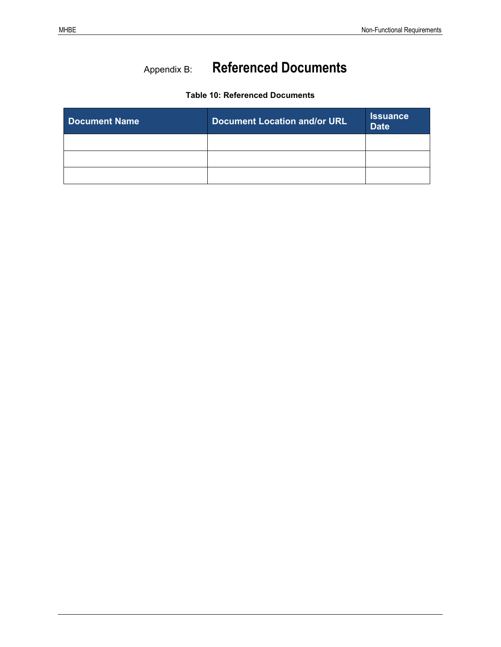### Appendix B: **Referenced Documents**

#### **Table 10: Referenced Documents**

<span id="page-27-0"></span>

| <b>Document Name</b> | <b>Document Location and/or URL</b> | <b>Issuance</b><br><b>Date</b> |
|----------------------|-------------------------------------|--------------------------------|
|                      |                                     |                                |
|                      |                                     |                                |
|                      |                                     |                                |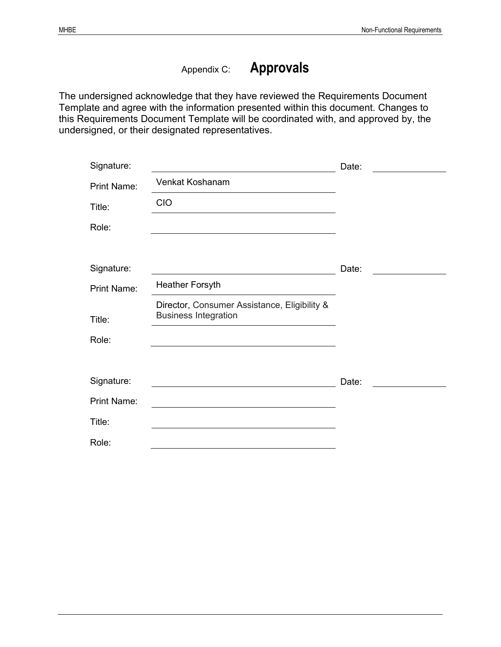### Appendix C: **Approvals**

The undersigned acknowledge that they have reviewed the Requirements Document Template and agree with the information presented within this document. Changes to this Requirements Document Template will be coordinated with, and approved by, the undersigned, or their designated representatives.

| Signature:         |                                                                                                                      | Date: |
|--------------------|----------------------------------------------------------------------------------------------------------------------|-------|
| <b>Print Name:</b> | Venkat Koshanam                                                                                                      |       |
| Title:             | <b>CIO</b>                                                                                                           |       |
| Role:              |                                                                                                                      |       |
|                    |                                                                                                                      |       |
| Signature:         | <u> 1980 - Jan Stein Stein Stein Stein Stein Stein Stein Stein Stein Stein Stein Stein Stein Stein Stein Stein S</u> | Date: |
| <b>Print Name:</b> | <b>Heather Forsyth</b>                                                                                               |       |
| Title:             | Director, Consumer Assistance, Eligibility &<br><b>Business Integration</b>                                          |       |
| Role:              |                                                                                                                      |       |
|                    |                                                                                                                      |       |
| Signature:         |                                                                                                                      | Date: |
| <b>Print Name:</b> | the contract of the contract of the contract of the contract of the contract of the contract of the                  |       |
| Title:             |                                                                                                                      |       |
| Role:              |                                                                                                                      |       |